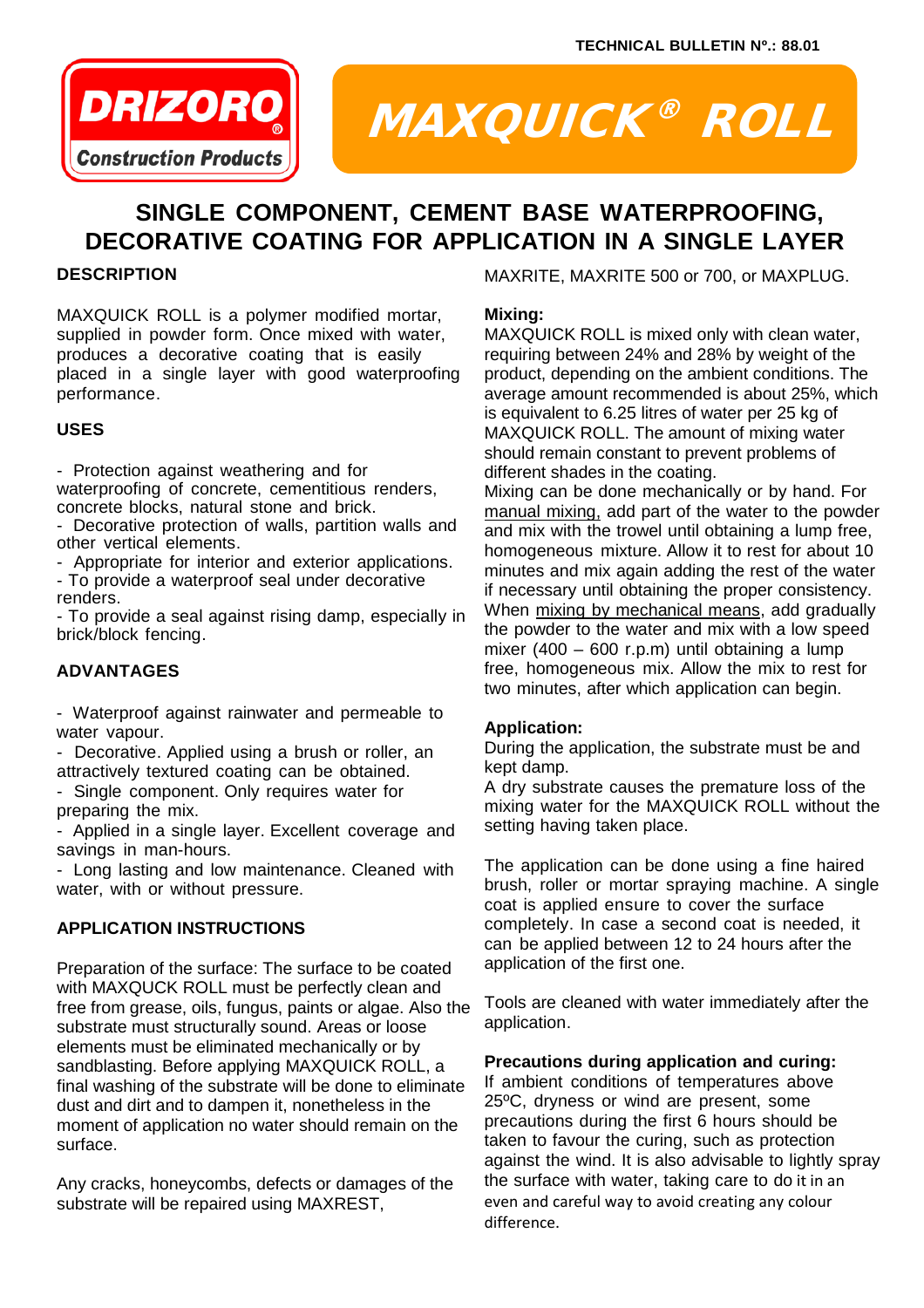

# MAXQUICK® ROLL

# **SINGLE COMPONENT, CEMENT BASE WATERPROOFING, DECORATIVE COATING FOR APPLICATION IN A SINGLE LAYER**

# **DESCRIPTION**

MAXQUICK ROLL is a polymer modified mortar, supplied in powder form. Once mixed with water, produces a decorative coating that is easily placed in a single layer with good waterproofing performance.

# **USES**

- Protection against weathering and for waterproofing of concrete, cementitious renders, concrete blocks, natural stone and brick.

- Decorative protection of walls, partition walls and other vertical elements.
- Appropriate for interior and exterior applications.

- To provide a waterproof seal under decorative renders.

- To provide a seal against rising damp, especially in brick/block fencing.

# **ADVANTAGES**

- Waterproof against rainwater and permeable to water vapour.

- Decorative. Applied using a brush or roller, an attractively textured coating can be obtained.

- Single component. Only requires water for preparing the mix.

- Applied in a single layer. Excellent coverage and savings in man-hours.

- Long lasting and low maintenance. Cleaned with water, with or without pressure.

# **APPLICATION INSTRUCTIONS**

Preparation of the surface: The surface to be coated with MAXQUCK ROLL must be perfectly clean and free from grease, oils, fungus, paints or algae. Also the substrate must structurally sound. Areas or loose elements must be eliminated mechanically or by sandblasting. Before applying MAXQUICK ROLL, a final washing of the substrate will be done to eliminate dust and dirt and to dampen it, nonetheless in the moment of application no water should remain on the surface.

Any cracks, honeycombs, defects or damages of the substrate will be repaired using MAXREST,

MAXRITE, MAXRITE 500 or 700, or MAXPLUG.

#### **Mixing:**

MAXQUICK ROLL is mixed only with clean water, requiring between 24% and 28% by weight of the product, depending on the ambient conditions. The average amount recommended is about 25%, which is equivalent to 6.25 litres of water per 25 kg of MAXQUICK ROLL. The amount of mixing water should remain constant to prevent problems of different shades in the coating.

Mixing can be done mechanically or by hand. For manual mixing, add part of the water to the powder and mix with the trowel until obtaining a lump free, homogeneous mixture. Allow it to rest for about 10 minutes and mix again adding the rest of the water if necessary until obtaining the proper consistency. When mixing by mechanical means, add gradually the powder to the water and mix with a low speed mixer (400 – 600 r.p.m) until obtaining a lump free, homogeneous mix. Allow the mix to rest for two minutes, after which application can begin.

# **Application:**

During the application, the substrate must be and kept damp.

A dry substrate causes the premature loss of the mixing water for the MAXQUICK ROLL without the setting having taken place.

The application can be done using a fine haired brush, roller or mortar spraying machine. A single coat is applied ensure to cover the surface completely. In case a second coat is needed, it can be applied between 12 to 24 hours after the application of the first one.

Tools are cleaned with water immediately after the application.

# **Precautions during application and curing:**

If ambient conditions of temperatures above 25ºC, dryness or wind are present, some precautions during the first 6 hours should be taken to favour the curing, such as protection against the wind. It is also advisable to lightly spray the surface with water, taking care to do it in an even and careful way to avoid creating any colour difference.